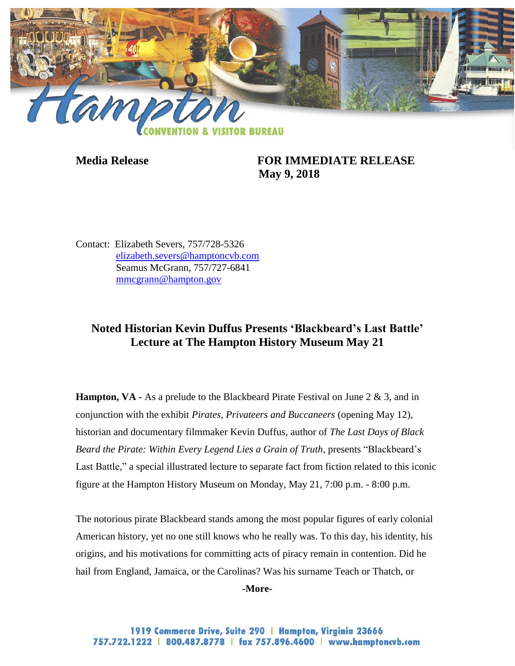

**Media Release FOR IMMEDIATE RELEASE May 9, 2018**

Contact: Elizabeth Severs, 757/728-5326 [elizabeth.severs@hamptoncvb.com](mailto:elizabeth.severs@hamptoncvb.com) Seamus McGrann, 757/727-6841 [mmcgrann@hampton.gov](mailto:mmcgrann@hampton.gov)

# **Noted Historian Kevin Duffus Presents 'Blackbeard's Last Battle' Lecture at The Hampton History Museum May 21**

**Hampton, VA** - As a prelude to the Blackbeard Pirate Festival on June 2 & 3, and in conjunction with the exhibit *Pirates, Privateers and Buccaneers* (opening May 12), historian and documentary filmmaker Kevin Duffus, author of *The Last Days of Black Beard the Pirate: Within Every Legend Lies a Grain of Truth*, presents "Blackbeard's Last Battle," a special illustrated lecture to separate fact from fiction related to this iconic figure at the Hampton History Museum on Monday, May 21, 7:00 p.m. - 8:00 p.m.

The notorious pirate Blackbeard stands among the most popular figures of early colonial American history, yet no one still knows who he really was. To this day, his identity, his origins, and his motivations for committing acts of piracy remain in contention. Did he hail from England, Jamaica, or the Carolinas? Was his surname Teach or Thatch, or

**-More-**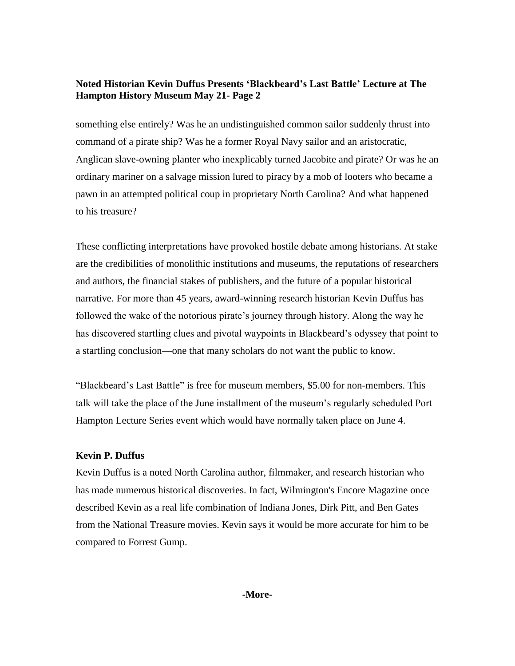## **Noted Historian Kevin Duffus Presents 'Blackbeard's Last Battle' Lecture at The Hampton History Museum May 21- Page 2**

something else entirely? Was he an undistinguished common sailor suddenly thrust into command of a pirate ship? Was he a former Royal Navy sailor and an aristocratic, Anglican slave-owning planter who inexplicably turned Jacobite and pirate? Or was he an ordinary mariner on a salvage mission lured to piracy by a mob of looters who became a pawn in an attempted political coup in proprietary North Carolina? And what happened to his treasure?

These conflicting interpretations have provoked hostile debate among historians. At stake are the credibilities of monolithic institutions and museums, the reputations of researchers and authors, the financial stakes of publishers, and the future of a popular historical narrative. For more than 45 years, award-winning research historian Kevin Duffus has followed the wake of the notorious pirate's journey through history. Along the way he has discovered startling clues and pivotal waypoints in Blackbeard's odyssey that point to a startling conclusion—one that many scholars do not want the public to know.

"Blackbeard's Last Battle" is free for museum members, \$5.00 for non-members. This talk will take the place of the June installment of the museum's regularly scheduled Port Hampton Lecture Series event which would have normally taken place on June 4.

#### **Kevin P. Duffus**

Kevin Duffus is a noted North Carolina author, filmmaker, and research historian who has made numerous historical discoveries. In fact, Wilmington's Encore Magazine once described Kevin as a real life combination of Indiana Jones, Dirk Pitt, and Ben Gates from the National Treasure movies. Kevin says it would be more accurate for him to be compared to Forrest Gump.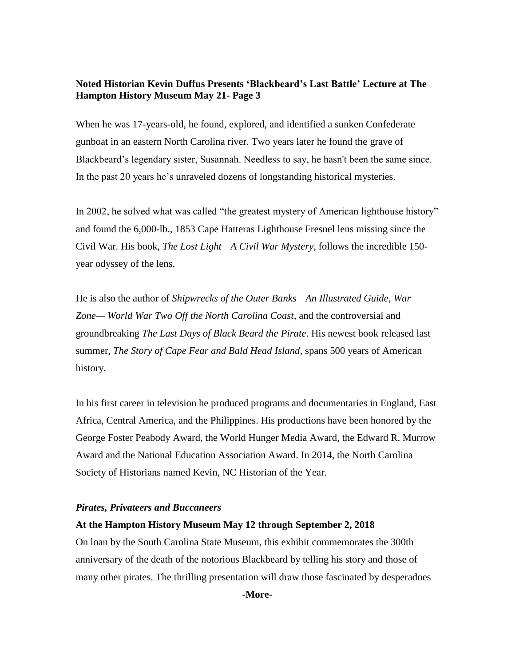## **Noted Historian Kevin Duffus Presents 'Blackbeard's Last Battle' Lecture at The Hampton History Museum May 21- Page 3**

When he was 17-years-old, he found, explored, and identified a sunken Confederate gunboat in an eastern North Carolina river. Two years later he found the grave of Blackbeard's legendary sister, Susannah. Needless to say, he hasn't been the same since. In the past 20 years he's unraveled dozens of longstanding historical mysteries.

In 2002, he solved what was called "the greatest mystery of American lighthouse history" and found the 6,000-lb., 1853 Cape Hatteras Lighthouse Fresnel lens missing since the Civil War. His book, *The Lost Light—A Civil War Mystery*, follows the incredible 150 year odyssey of the lens.

He is also the author of *Shipwrecks of the Outer Banks—An Illustrated Guide*, *War Zone— World War Two Off the North Carolina Coast*, and the controversial and groundbreaking *The Last Days of Black Beard the Pirate*. His newest book released last summer, *The Story of Cape Fear and Bald Head Island*, spans 500 years of American history.

In his first career in television he produced programs and documentaries in England, East Africa, Central America, and the Philippines. His productions have been honored by the George Foster Peabody Award, the World Hunger Media Award, the Edward R. Murrow Award and the National Education Association Award. In 2014, the North Carolina Society of Historians named Kevin, NC Historian of the Year.

#### *Pirates, Privateers and Buccaneers*

#### **At the Hampton History Museum May 12 through September 2, 2018**

On loan by the South Carolina State Museum, this exhibit commemorates the 300th anniversary of the death of the notorious Blackbeard by telling his story and those of many other pirates. The thrilling presentation will draw those fascinated by desperadoes

**-More-**